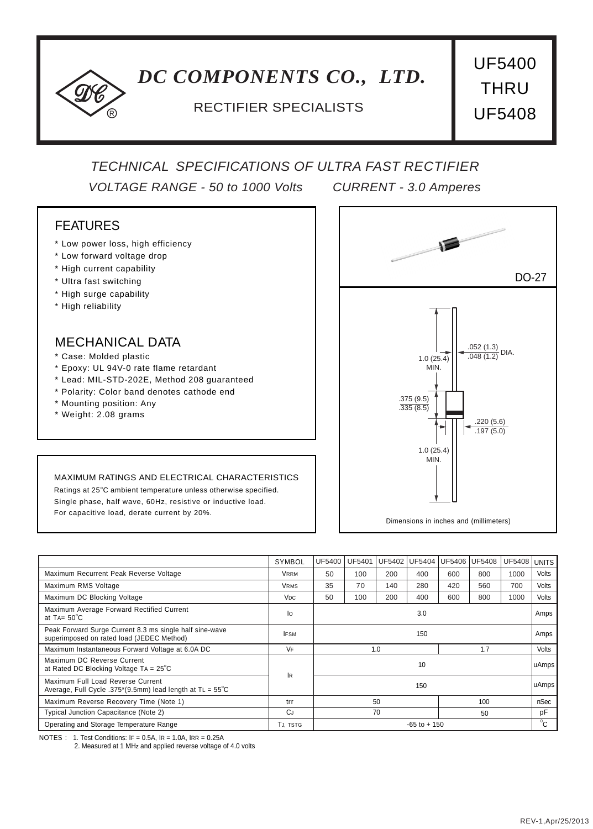# *DC COMPONENTS CO., LTD.*

## RECTIFIER SPECIALISTS **UF5408**

UF5400 **THRU** 

## *TECHNICAL SPECIFICATIONS OF ULTRA FAST RECTIFIER*

*VOLTAGE RANGE - 50 to 1000 Volts CURRENT - 3.0 Amperes*

### FEATURES

- \* Low power loss, high efficiency
- \* Low forward voltage drop

R

- \* High current capability
- \* Ultra fast switching
- \* High surge capability
- \* High reliability

#### MECHANICAL DATA

- \* Case: Molded plastic
- \* Epoxy: UL 94V-0 rate flame retardant
- \* Lead: MIL-STD-202E, Method 208 guaranteed
- \* Polarity: Color band denotes cathode end
- \* Mounting position: Any
- \* Weight: 2.08 grams

# DO-27 .052 (1.3)  $\frac{-(-1.0)}{0.048(1.2)}$  DIA. 1.0 (25.4) MIN. 1.0 (25.4) MIN. .375 (9.5) .335 (8.5) .220 (5.6)  $.197(5.0)$

Dimensions in inches and (millimeters)

#### MAXIMUM RATINGS AND ELECTRICAL CHARACTERISTICS

Ratings at 25°C ambient temperature unless otherwise specified. Single phase, half wave, 60Hz, resistive or inductive load. For capacitive load, derate current by 20%.

|                                                                                                         | SYMBOL                | <b>UF5400</b> | <b>UF5401</b>   | UF5402 | UF5404 | UF5406 | <b>UF5408</b> | <b>UF5408</b> | <b>UNITS</b> |
|---------------------------------------------------------------------------------------------------------|-----------------------|---------------|-----------------|--------|--------|--------|---------------|---------------|--------------|
| Maximum Recurrent Peak Reverse Voltage                                                                  | Vrrm                  | 50            | 100             | 200    | 400    | 600    | 800           | 1000          | Volts        |
| Maximum RMS Voltage                                                                                     | Vrms                  | 35            | 70              | 140    | 280    | 420    | 560           | 700           | Volts        |
| Maximum DC Blocking Voltage                                                                             | <b>V<sub>DC</sub></b> | 50            | 100             | 200    | 400    | 600    | 800           | 1000          | Volts        |
| Maximum Average Forward Rectified Current<br>at $TA = 50^{\circ}C$                                      | lo                    | 3.0           |                 |        |        |        |               | Amps          |              |
| Peak Forward Surge Current 8.3 ms single half sine-wave<br>superimposed on rated load (JEDEC Method)    | <b>IFSM</b>           | 150           |                 |        |        |        |               | Amps          |              |
| Maximum Instantaneous Forward Voltage at 6.0A DC                                                        | <b>VF</b>             | 1.7<br>1.0    |                 |        |        |        |               | <b>Volts</b>  |              |
| Maximum DC Reverse Current<br>at Rated DC Blocking Voltage TA = $25^{\circ}$ C                          | <b>IR</b>             |               | 10              |        |        |        |               |               | uAmps        |
| Maximum Full Load Reverse Current<br>Average, Full Cycle .375*(9.5mm) lead length at $TL = 55^{\circ}C$ |                       | 150           |                 |        |        |        |               |               | uAmps        |
| Maximum Reverse Recovery Time (Note 1)                                                                  | trr                   |               | 50              |        |        | 100    |               | nSec          |              |
| Typical Junction Capacitance (Note 2)                                                                   | CJ                    | 70<br>50      |                 |        |        |        | pF            |               |              |
| Operating and Storage Temperature Range                                                                 | Tj. tstg              |               | $-65$ to $+150$ |        |        |        |               |               | $^0C$        |

NOTES : 1. Test Conditions:  $IF = 0.5A$ ,  $IR = 1.0A$ ,  $IRR = 0.25A$ 

2. Measured at 1 MH**Z** and applied reverse voltage of 4.0 volts